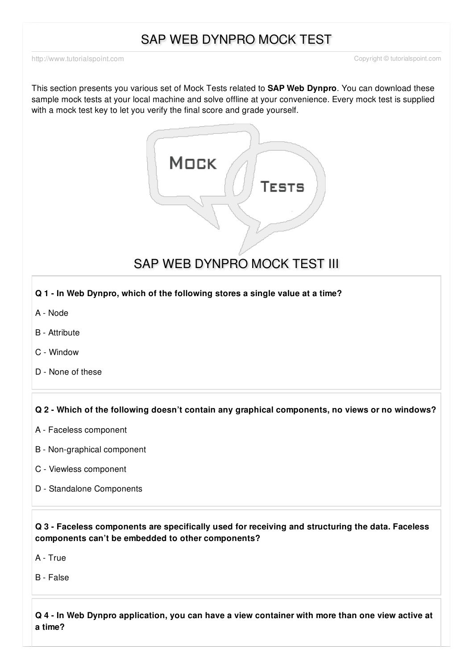# SAP WEB DYNPRO MOCK TEST

<http://www.tutorialspoint.com> Copyright © tutorialspoint.com

This section presents you various set of Mock Tests related to **SAP Web Dynpro**. You can download these sample mock tests at your local machine and solve offline at your convenience. Every mock test is supplied with a mock test key to let you verify the final score and grade yourself.



SAP WEB DYNPRO MOCK TEST III

# **Q 1 - In Web Dynpro, which of the following stores a single value at a time?**

- A [Node](javascript:void(0);)
- B [Attribute](javascript:void(0);)
- C [Window](javascript:void(0);)
- D None of [these](javascript:void(0);)

#### **Q 2 - Which of the following doesn't contain any graphical components, no views or no windows?**

- A Faceless [component](javascript:void(0);)
- B [Non-graphical](javascript:void(0);) component
- C Viewless [component](javascript:void(0);)
- D Standalone [Components](javascript:void(0);)

**Q 3 - Faceless components are specifically used for receiving and structuring the data. Faceless components can't be embedded to other components?**

A - [True](javascript:void(0);)

B - [False](javascript:void(0);)

Q 4 - In Web Dynpro application, you can have a view container with more than one view active at **a time?**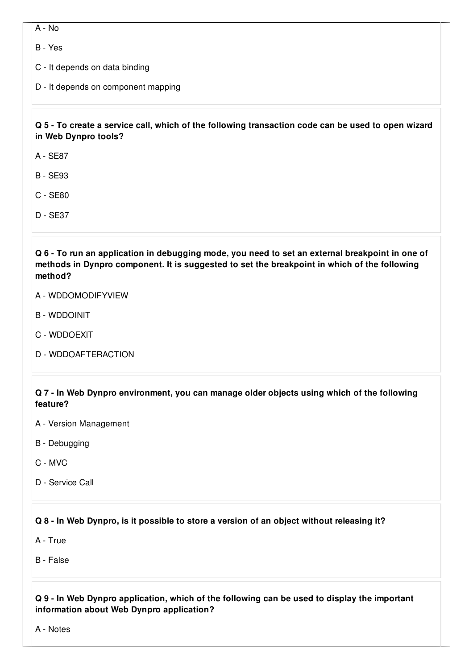A - [No](javascript:void(0);)

B - [Yes](javascript:void(0);)

C - It [depends](javascript:void(0);) on data binding

D - It depends on [component](javascript:void(0);) mapping

# Q 5 - To create a service call, which of the following transaction code can be used to open wizard **in Web Dynpro tools?**

A - [SE87](javascript:void(0);)

B - [SE93](javascript:void(0);)

C - [SE80](javascript:void(0);)

D - [SE37](javascript:void(0);)

Q 6 - To run an application in debugging mode, you need to set an external breakpoint in one of **methods in Dynpro component. It is suggested to set the breakpoint in which of the following method?**

- A [WDDOMODIFYVIEW](javascript:void(0);)
- B [WDDOINIT](javascript:void(0);)
- C [WDDOEXIT](javascript:void(0);)
- D [WDDOAFTERACTION](javascript:void(0);)

**Q 7 - In Web Dynpro environment, you can manage older objects using which of the following feature?**

- A Version [Management](javascript:void(0);)
- B [Debugging](javascript:void(0);)
- C [MVC](javascript:void(0);)
- D [Service](javascript:void(0);) Call

**Q 8 - In Web Dynpro, is it possible to store a version of an object without releasing it?**

A - [True](javascript:void(0);)

B - [False](javascript:void(0);)

# **Q 9 - In Web Dynpro application, which of the following can be used to display the important information about Web Dynpro application?**

A - [Notes](javascript:void(0);)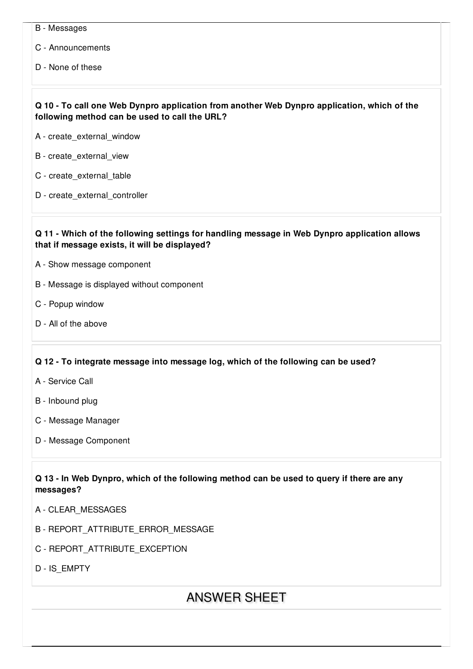- B [Messages](javascript:void(0);)
- C [Announcements](javascript:void(0);)
- D None of [these](javascript:void(0);)

# **Q 10 - To call one Web Dynpro application from another Web Dynpro application, which of the following method can be used to call the URL?**

- A [create\\_external\\_window](javascript:void(0);)
- B [create\\_external\\_view](javascript:void(0);)
- C [create\\_external\\_table](javascript:void(0);)
- D [create\\_external\\_controller](javascript:void(0);)

#### **Q 11 - Which of the following settings for handling message in Web Dynpro application allows that if message exists, it will be displayed?**

- A Show message [component](javascript:void(0);)
- B Message is displayed without [component](javascript:void(0);)
- C Popup [window](javascript:void(0);)
- D All of the [above](javascript:void(0);)

#### **Q 12 - To integrate message into message log, which of the following can be used?**

- A [Service](javascript:void(0);) Call
- B [Inbound](javascript:void(0);) plug
- C [Message](javascript:void(0);) Manager
- D Message [Component](javascript:void(0);)

# Q 13 - In Web Dynpro, which of the following method can be used to query if there are any **messages?**

- A [CLEAR\\_MESSAGES](javascript:void(0);)
- B [REPORT\\_ATTRIBUTE\\_ERROR\\_MESSAGE](javascript:void(0);)
- C [REPORT\\_ATTRIBUTE\\_EXCEPTION](javascript:void(0);)

D - [IS\\_EMPTY](javascript:void(0);)

# ANSWER SHEET